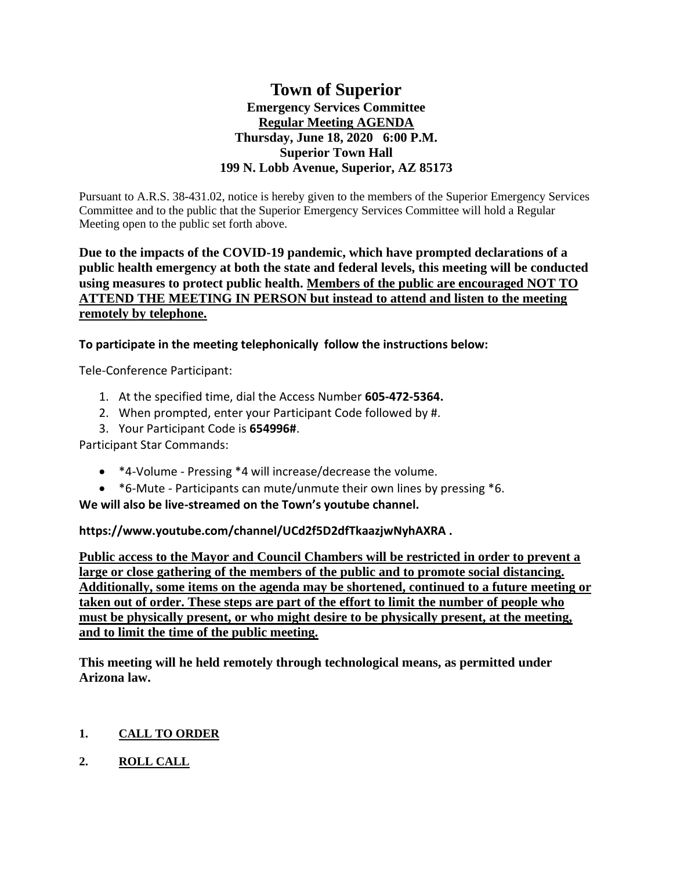# **Town of Superior Emergency Services Committee Regular Meeting AGENDA Thursday, June 18, 2020 6:00 P.M. Superior Town Hall 199 N. Lobb Avenue, Superior, AZ 85173**

Pursuant to A.R.S. 38-431.02, notice is hereby given to the members of the Superior Emergency Services Committee and to the public that the Superior Emergency Services Committee will hold a Regular Meeting open to the public set forth above.

## **Due to the impacts of the COVID-19 pandemic, which have prompted declarations of a public health emergency at both the state and federal levels, this meeting will be conducted using measures to protect public health. Members of the public are encouraged NOT TO ATTEND THE MEETING IN PERSON but instead to attend and listen to the meeting remotely by telephone.**

**To participate in the meeting telephonically follow the instructions below:**

Tele-Conference Participant:

- 1. At the specified time, dial the Access Number **605-472-5364.**
- 2. When prompted, enter your Participant Code followed by #.
- 3. Your Participant Code is **654996#**.

Participant Star Commands:

- \*4-Volume Pressing \*4 will increase/decrease the volume.
- \*6-Mute Participants can mute/unmute their own lines by pressing \*6.

**We will also be live-streamed on the Town's youtube channel.** 

**https://www.youtube.com/channel/UCd2f5D2dfTkaazjwNyhAXRA .** 

**Public access to the Mayor and Council Chambers will be restricted in order to prevent a large or close gathering of the members of the public and to promote social distancing. Additionally, some items on the agenda may be shortened, continued to a future meeting or taken out of order. These steps are part of the effort to limit the number of people who must be physically present, or who might desire to be physically present, at the meeting, and to limit the time of the public meeting.**

**This meeting will he held remotely through technological means, as permitted under Arizona law.**

## **1. CALL TO ORDER**

**2. ROLL CALL**